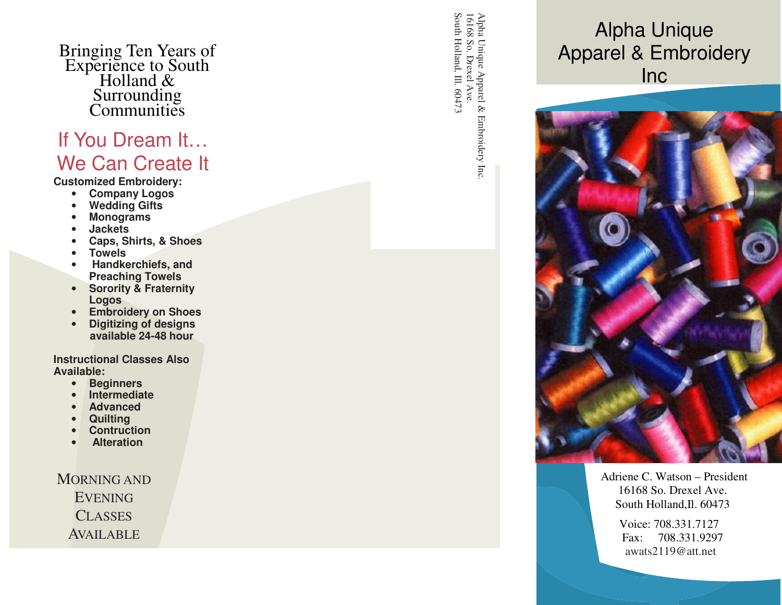Bringing Ten Years of Experience to South Holland & Surrounding Communities

## If You Dream It… We Can Create It

**Customized Embroidery:** 

- **Company Logos**
- •**Wedding Gifts**
- •**Monograms**
- •**Jackets**
- •**Caps, Shirts, & Shoes**
- •**Towels**
- • **Handkerchiefs, and Preaching Towels**
- **Sorority & FraternityLogos**
- **Embroidery on Shoes**  •
- • **Digitizing of designs available 24-48 hour**

**Instructional Classes Also Available:** 

- **Beginners**  •
- •**Intermediate**
- •**Advanced**
- •**Quilting**
- •**Contruction**
- • **Alteration**

MORNING ANDEVENING CLASSES AVAILABLE

South Holland, Ill. 60473 16168 So. Drexel Ave. Alpha Unique Apparel & Embroidery Inc.

## Alpha Unique Apparel & EmbroideryInc



 Adriene C. Watson – President 16168 So. Drexel Ave. South Holland, Il. 60473

> Voice: 708.331.7127 Fax: 708.331.9297 awats2119@att.net